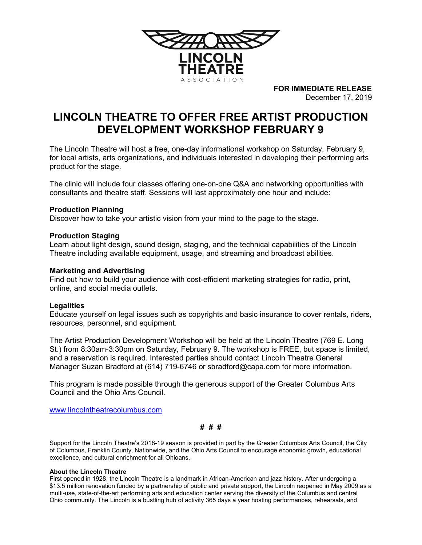

FOR IMMEDIATE RELEASE December 17, 2019

# LINCOLN THEATRE TO OFFER FREE ARTIST PRODUCTION DEVELOPMENT WORKSHOP FEBRUARY 9

The Lincoln Theatre will host a free, one-day informational workshop on Saturday, February 9, for local artists, arts organizations, and individuals interested in developing their performing arts product for the stage.

The clinic will include four classes offering one-on-one Q&A and networking opportunities with consultants and theatre staff. Sessions will last approximately one hour and include:

# Production Planning

Discover how to take your artistic vision from your mind to the page to the stage.

# Production Staging

Learn about light design, sound design, staging, and the technical capabilities of the Lincoln Theatre including available equipment, usage, and streaming and broadcast abilities.

### Marketing and Advertising

Find out how to build your audience with cost-efficient marketing strategies for radio, print, online, and social media outlets.

#### **Legalities**

Educate yourself on legal issues such as copyrights and basic insurance to cover rentals, riders, resources, personnel, and equipment.

The Artist Production Development Workshop will be held at the Lincoln Theatre (769 E. Long St.) from 8:30am-3:30pm on Saturday, February 9. The workshop is FREE, but space is limited, and a reservation is required. Interested parties should contact Lincoln Theatre General Manager Suzan Bradford at (614) 719-6746 or sbradford@capa.com for more information.

This program is made possible through the generous support of the Greater Columbus Arts Council and the Ohio Arts Council.

www.lincolntheatrecolumbus.com

# # #

Support for the Lincoln Theatre's 2018-19 season is provided in part by the Greater Columbus Arts Council, the City of Columbus, Franklin County, Nationwide, and the Ohio Arts Council to encourage economic growth, educational excellence, and cultural enrichment for all Ohioans.

#### About the Lincoln Theatre

First opened in 1928, the Lincoln Theatre is a landmark in African-American and jazz history. After undergoing a \$13.5 million renovation funded by a partnership of public and private support, the Lincoln reopened in May 2009 as a multi-use, state-of-the-art performing arts and education center serving the diversity of the Columbus and central Ohio community. The Lincoln is a bustling hub of activity 365 days a year hosting performances, rehearsals, and